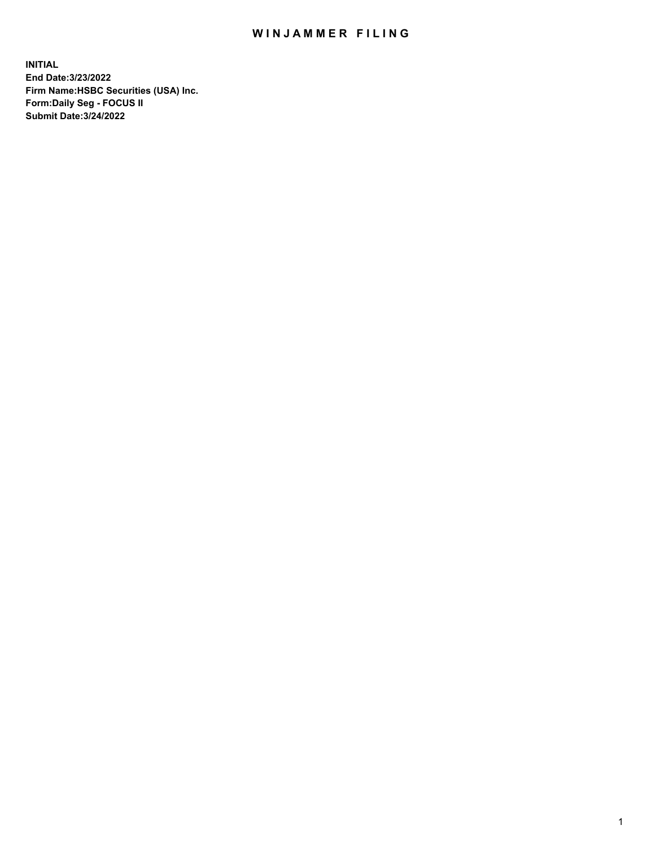## WIN JAMMER FILING

**INITIAL End Date:3/23/2022 Firm Name:HSBC Securities (USA) Inc. Form:Daily Seg - FOCUS II Submit Date:3/24/2022**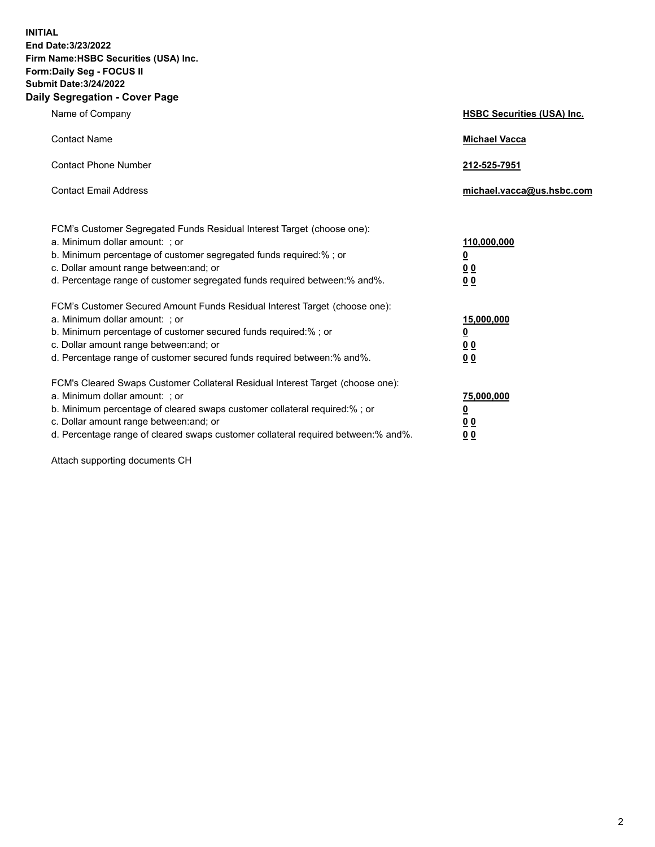**INITIAL End Date:3/23/2022 Firm Name:HSBC Securities (USA) Inc. Form:Daily Seg - FOCUS II Submit Date:3/24/2022 Daily Segregation - Cover Page**

| Name of Company                                                                                                                                                                                                                                                                                                               | <b>HSBC Securities (USA) Inc.</b>                                           |
|-------------------------------------------------------------------------------------------------------------------------------------------------------------------------------------------------------------------------------------------------------------------------------------------------------------------------------|-----------------------------------------------------------------------------|
| <b>Contact Name</b>                                                                                                                                                                                                                                                                                                           | <b>Michael Vacca</b>                                                        |
| <b>Contact Phone Number</b>                                                                                                                                                                                                                                                                                                   | 212-525-7951                                                                |
| <b>Contact Email Address</b>                                                                                                                                                                                                                                                                                                  | michael.vacca@us.hsbc.com                                                   |
| FCM's Customer Segregated Funds Residual Interest Target (choose one):<br>a. Minimum dollar amount: ; or<br>b. Minimum percentage of customer segregated funds required:% ; or<br>c. Dollar amount range between: and; or<br>d. Percentage range of customer segregated funds required between:% and%.                        | 110,000,000<br>$\underline{\mathbf{0}}$<br>0 <sub>0</sub><br>0 <sub>0</sub> |
| FCM's Customer Secured Amount Funds Residual Interest Target (choose one):<br>a. Minimum dollar amount: ; or<br>b. Minimum percentage of customer secured funds required:%; or<br>c. Dollar amount range between: and; or<br>d. Percentage range of customer secured funds required between: % and %.                         | 15,000,000<br><u>0</u><br>0 <sub>0</sub><br>0 <sub>0</sub>                  |
| FCM's Cleared Swaps Customer Collateral Residual Interest Target (choose one):<br>a. Minimum dollar amount: : or<br>b. Minimum percentage of cleared swaps customer collateral required:%; or<br>c. Dollar amount range between: and; or<br>d. Percentage range of cleared swaps customer collateral required between:% and%. | 75,000,000<br><u>0</u><br>00<br>00                                          |

Attach supporting documents CH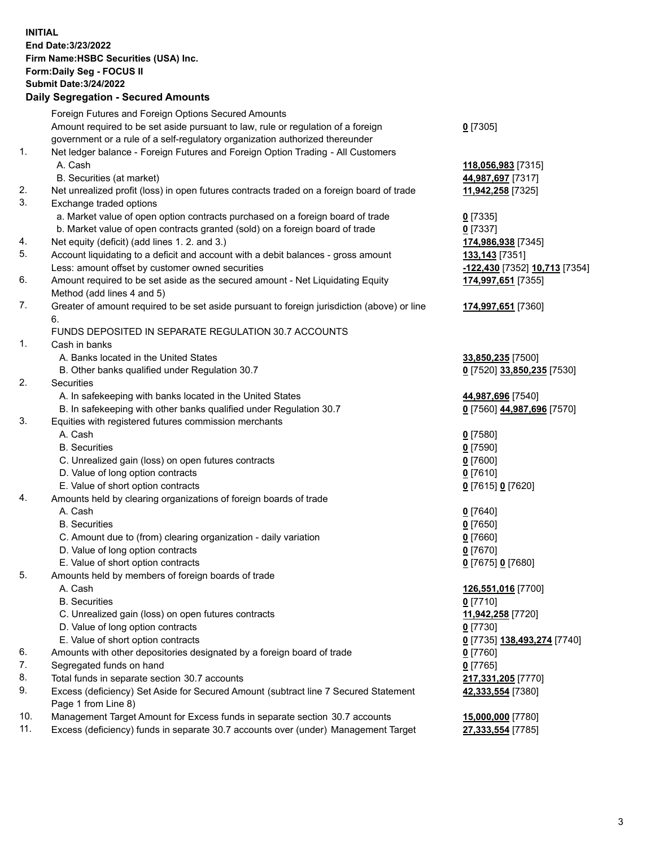**INITIAL End Date:3/23/2022 Firm Name:HSBC Securities (USA) Inc. Form:Daily Seg - FOCUS II Submit Date:3/24/2022 Daily Segregation - Secured Amounts**

|     | Foreign Futures and Foreign Options Secured Amounts                                         |                               |
|-----|---------------------------------------------------------------------------------------------|-------------------------------|
|     | Amount required to be set aside pursuant to law, rule or regulation of a foreign            | $0$ [7305]                    |
|     | government or a rule of a self-regulatory organization authorized thereunder                |                               |
| 1.  | Net ledger balance - Foreign Futures and Foreign Option Trading - All Customers             |                               |
|     | A. Cash                                                                                     | 118,056,983 [7315]            |
|     | B. Securities (at market)                                                                   | 44,987,697 [7317]             |
| 2.  | Net unrealized profit (loss) in open futures contracts traded on a foreign board of trade   | 11,942,258 [7325]             |
| 3.  | Exchange traded options                                                                     |                               |
|     | a. Market value of open option contracts purchased on a foreign board of trade              | $0$ [7335]                    |
|     | b. Market value of open contracts granted (sold) on a foreign board of trade                | $0$ [7337]                    |
| 4.  | Net equity (deficit) (add lines 1. 2. and 3.)                                               | 174,986,938 [7345]            |
| 5.  | Account liquidating to a deficit and account with a debit balances - gross amount           | 133,143 [7351]                |
|     | Less: amount offset by customer owned securities                                            | -122,430 [7352] 10,713 [7354] |
| 6.  | Amount required to be set aside as the secured amount - Net Liquidating Equity              | 174,997,651 [7355]            |
|     | Method (add lines 4 and 5)                                                                  |                               |
| 7.  | Greater of amount required to be set aside pursuant to foreign jurisdiction (above) or line | 174,997,651 [7360]            |
|     | 6.                                                                                          |                               |
|     | FUNDS DEPOSITED IN SEPARATE REGULATION 30.7 ACCOUNTS                                        |                               |
| 1.  | Cash in banks                                                                               |                               |
|     | A. Banks located in the United States                                                       | 33,850,235 [7500]             |
|     | B. Other banks qualified under Regulation 30.7                                              | 0 [7520] 33,850,235 [7530]    |
| 2.  | <b>Securities</b>                                                                           |                               |
|     | A. In safekeeping with banks located in the United States                                   | 44,987,696 [7540]             |
|     | B. In safekeeping with other banks qualified under Regulation 30.7                          | 0 [7560] 44,987,696 [7570]    |
| 3.  | Equities with registered futures commission merchants                                       |                               |
|     | A. Cash                                                                                     | $0$ [7580]                    |
|     | <b>B.</b> Securities                                                                        |                               |
|     |                                                                                             | $0$ [7590]                    |
|     | C. Unrealized gain (loss) on open futures contracts                                         | $0$ [7600]                    |
|     | D. Value of long option contracts                                                           | $0$ [7610]                    |
|     | E. Value of short option contracts                                                          | 0 [7615] 0 [7620]             |
| 4.  | Amounts held by clearing organizations of foreign boards of trade                           |                               |
|     | A. Cash                                                                                     | $0$ [7640]                    |
|     | <b>B.</b> Securities                                                                        | $0$ [7650]                    |
|     | C. Amount due to (from) clearing organization - daily variation                             | $0$ [7660]                    |
|     | D. Value of long option contracts                                                           | $0$ [7670]                    |
|     | E. Value of short option contracts                                                          | 0 [7675] 0 [7680]             |
| 5.  | Amounts held by members of foreign boards of trade                                          |                               |
|     | A. Cash                                                                                     | 126,551,016 [7700]            |
|     | <b>B.</b> Securities                                                                        | $0$ [7710]                    |
|     | C. Unrealized gain (loss) on open futures contracts                                         | 11,942,258 [7720]             |
|     | D. Value of long option contracts                                                           | $0$ [7730]                    |
|     | E. Value of short option contracts                                                          | 0 [7735] 138,493,274 [7740]   |
| 6.  | Amounts with other depositories designated by a foreign board of trade                      | 0 [7760]                      |
| 7.  | Segregated funds on hand                                                                    | $0$ [7765]                    |
| 8.  | Total funds in separate section 30.7 accounts                                               | 217,331,205 [7770]            |
| 9.  | Excess (deficiency) Set Aside for Secured Amount (subtract line 7 Secured Statement         | 42,333,554 [7380]             |
|     | Page 1 from Line 8)                                                                         |                               |
| 10. | Management Target Amount for Excess funds in separate section 30.7 accounts                 | 15,000,000 [7780]             |
| 11. | Excess (deficiency) funds in separate 30.7 accounts over (under) Management Target          | 27,333,554 [7785]             |
|     |                                                                                             |                               |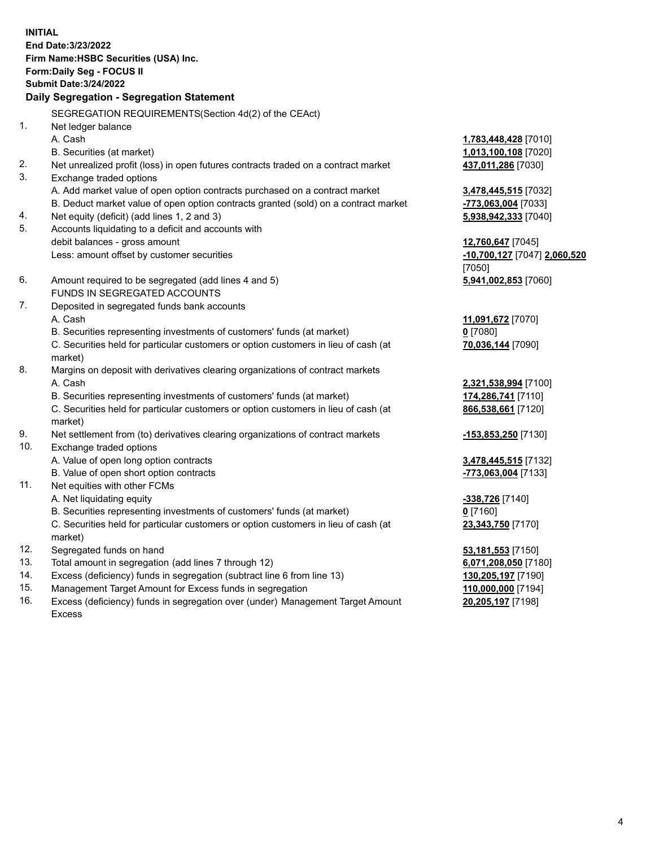**INITIAL End Date:3/23/2022 Firm Name:HSBC Securities (USA) Inc. Form:Daily Seg - FOCUS II Submit Date:3/24/2022 Daily Segregation - Segregation Statement** SEGREGATION REQUIREMENTS(Section 4d(2) of the CEAct) 1. Net ledger balance A. Cash **1,783,448,428** [7010] B. Securities (at market) **1,013,100,108** [7020] 2. Net unrealized profit (loss) in open futures contracts traded on a contract market **437,011,286** [7030] 3. Exchange traded options A. Add market value of open option contracts purchased on a contract market **3,478,445,515** [7032] B. Deduct market value of open option contracts granted (sold) on a contract market **-773,063,004** [7033] 4. Net equity (deficit) (add lines 1, 2 and 3) **5,938,942,333** [7040] 5. Accounts liquidating to a deficit and accounts with debit balances - gross amount **12,760,647** [7045] Less: amount offset by customer securities **-10,700,127** [7047] **2,060,520** [7050] 6. Amount required to be segregated (add lines 4 and 5) **5,941,002,853** [7060] FUNDS IN SEGREGATED ACCOUNTS 7. Deposited in segregated funds bank accounts A. Cash **11,091,672** [7070] B. Securities representing investments of customers' funds (at market) **0** [7080] C. Securities held for particular customers or option customers in lieu of cash (at market) **70,036,144** [7090] 8. Margins on deposit with derivatives clearing organizations of contract markets A. Cash **2,321,538,994** [7100] B. Securities representing investments of customers' funds (at market) **174,286,741** [7110] C. Securities held for particular customers or option customers in lieu of cash (at market) **866,538,661** [7120] 9. Net settlement from (to) derivatives clearing organizations of contract markets **-153,853,250** [7130] 10. Exchange traded options A. Value of open long option contracts **3,478,445,515** [7132] B. Value of open short option contracts **-773,063,004** [7133] 11. Net equities with other FCMs A. Net liquidating equity **-338,726** [7140] B. Securities representing investments of customers' funds (at market) **0** [7160] C. Securities held for particular customers or option customers in lieu of cash (at market) **23,343,750** [7170] 12. Segregated funds on hand **53,181,553** [7150] 13. Total amount in segregation (add lines 7 through 12) **6,071,208,050** [7180] 14. Excess (deficiency) funds in segregation (subtract line 6 from line 13) **130,205,197** [7190] 15. Management Target Amount for Excess funds in segregation **110,000,000** [7194]

16. Excess (deficiency) funds in segregation over (under) Management Target Amount Excess

**20,205,197** [7198]